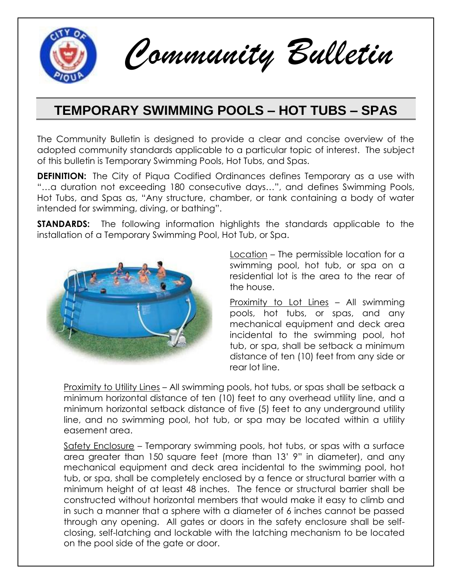

*Community Bulletin*

# **TEMPORARY SWIMMING POOLS – HOT TUBS – SPAS**

The Community Bulletin is designed to provide a clear and concise overview of the adopted community standards applicable to a particular topic of interest. The subject of this bulletin is Temporary Swimming Pools, Hot Tubs, and Spas.

**DEFINITION:** The City of Piqua Codified Ordinances defines Temporary as a use with "…a duration not exceeding 180 consecutive days…", and defines Swimming Pools, Hot Tubs, and Spas as, "Any structure, chamber, or tank containing a body of water intended for swimming, diving, or bathing".

**STANDARDS:** The following information highlights the standards applicable to the installation of a Temporary Swimming Pool, Hot Tub, or Spa.



Location – The permissible location for a swimming pool, hot tub, or spa on a residential lot is the area to the rear of the house.

Proximity to Lot Lines – All swimming pools, hot tubs, or spas, and any mechanical equipment and deck area incidental to the swimming pool, hot tub, or spa, shall be setback a minimum distance of ten (10) feet from any side or rear lot line.

Proximity to Utility Lines – All swimming pools, hot tubs, or spas shall be setback a minimum horizontal distance of ten (10) feet to any overhead utility line, and a minimum horizontal setback distance of five (5) feet to any underground utility line, and no swimming pool, hot tub, or spa may be located within a utility easement area.

Safety Enclosure – Temporary swimming pools, hot tubs, or spas with a surface area greater than 150 square feet (more than 13' 9" in diameter), and any mechanical equipment and deck area incidental to the swimming pool, hot tub, or spa, shall be completely enclosed by a fence or structural barrier with a minimum height of at least 48 inches. The fence or structural barrier shall be constructed without horizontal members that would make it easy to climb and in such a manner that a sphere with a diameter of 6 inches cannot be passed through any opening. All gates or doors in the safety enclosure shall be selfclosing, self-latching and lockable with the latching mechanism to be located on the pool side of the gate or door.